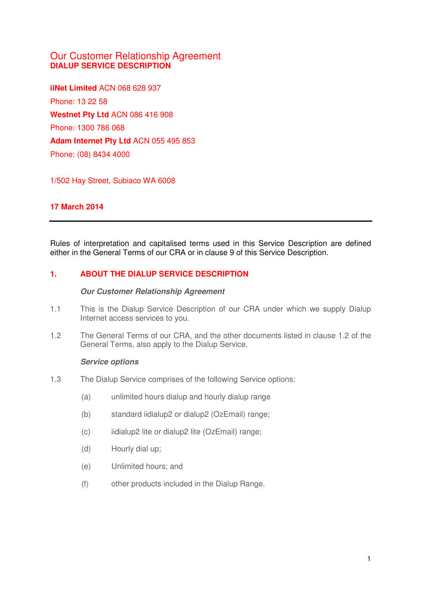# Our Customer Relationship Agreement **DIALUP SERVICE DESCRIPTION**

**iiNet Limited** ACN 068 628 937 Phone: 13 22 58 **Westnet Pty Ltd** ACN 086 416 908 Phone: 1300 786 068 **Adam Internet Pty Ltd** ACN 055 495 853 Phone: (08) 8434 4000

1/502 Hay Street, Subiaco WA 6008

## **17 March 2014**

Rules of interpretation and capitalised terms used in this Service Description are defined either in the General Terms of our CRA or in clause 9 of this Service Description.

### **1. ABOUT THE DIALUP SERVICE DESCRIPTION**

#### **Our Customer Relationship Agreement**

- 1.1 This is the Dialup Service Description of our CRA under which we supply Dialup Internet access services to you.
- 1.2 The General Terms of our CRA, and the other documents listed in clause 1.2 of the General Terms, also apply to the Dialup Service.

### **Service options**

- 1.3 The Dialup Service comprises of the following Service options:
	- (a) unlimited hours dialup and hourly dialup range
	- (b) standard iidialup2 or dialup2 (OzEmail) range;
	- (c) iidialup2 lite or dialup2 lite (OzEmail) range;
	- (d) Hourly dial up;
	- (e) Unlimited hours; and
	- (f) other products included in the Dialup Range.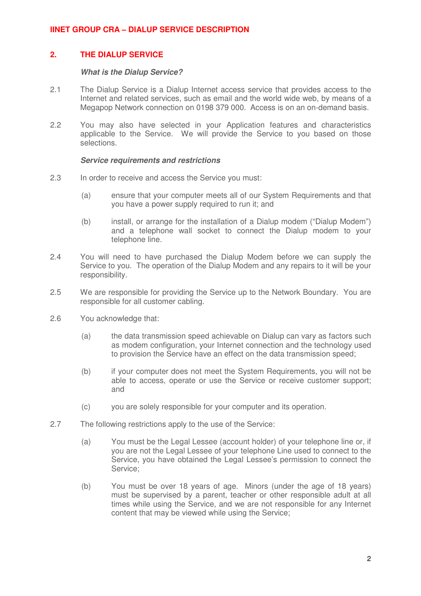## **2. THE DIALUP SERVICE**

#### **What is the Dialup Service?**

- 2.1 The Dialup Service is a Dialup Internet access service that provides access to the Internet and related services, such as email and the world wide web, by means of a Megapop Network connection on 0198 379 000. Access is on an on-demand basis.
- 2.2 You may also have selected in your Application features and characteristics applicable to the Service. We will provide the Service to you based on those selections.

#### **Service requirements and restrictions**

- 2.3 In order to receive and access the Service you must:
	- (a) ensure that your computer meets all of our System Requirements and that you have a power supply required to run it; and
	- (b) install, or arrange for the installation of a Dialup modem ("Dialup Modem") and a telephone wall socket to connect the Dialup modem to your telephone line.
- 2.4 You will need to have purchased the Dialup Modem before we can supply the Service to you. The operation of the Dialup Modem and any repairs to it will be your responsibility.
- 2.5 We are responsible for providing the Service up to the Network Boundary. You are responsible for all customer cabling.
- 2.6 You acknowledge that:
	- (a) the data transmission speed achievable on Dialup can vary as factors such as modem configuration, your Internet connection and the technology used to provision the Service have an effect on the data transmission speed;
	- (b) if your computer does not meet the System Requirements, you will not be able to access, operate or use the Service or receive customer support; and
	- (c) you are solely responsible for your computer and its operation.
- 2.7 The following restrictions apply to the use of the Service:
	- (a) You must be the Legal Lessee (account holder) of your telephone line or, if you are not the Legal Lessee of your telephone Line used to connect to the Service, you have obtained the Legal Lessee's permission to connect the Service;
	- (b) You must be over 18 years of age. Minors (under the age of 18 years) must be supervised by a parent, teacher or other responsible adult at all times while using the Service, and we are not responsible for any Internet content that may be viewed while using the Service;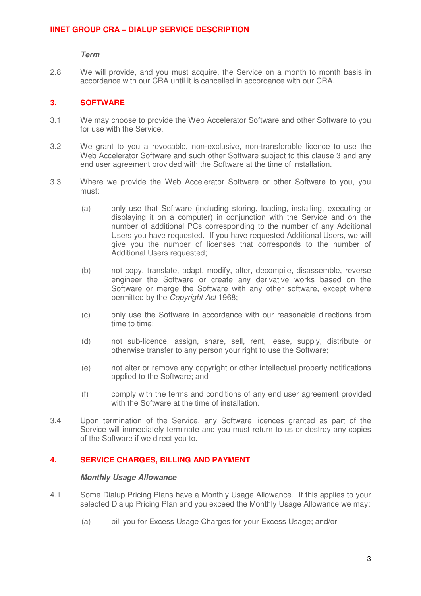**Term** 

2.8 We will provide, and you must acquire, the Service on a month to month basis in accordance with our CRA until it is cancelled in accordance with our CRA.

### **3. SOFTWARE**

- 3.1 We may choose to provide the Web Accelerator Software and other Software to you for use with the Service.
- 3.2 We grant to you a revocable, non-exclusive, non-transferable licence to use the Web Accelerator Software and such other Software subject to this clause 3 and any end user agreement provided with the Software at the time of installation.
- 3.3 Where we provide the Web Accelerator Software or other Software to you, you must:
	- (a) only use that Software (including storing, loading, installing, executing or displaying it on a computer) in conjunction with the Service and on the number of additional PCs corresponding to the number of any Additional Users you have requested. If you have requested Additional Users, we will give you the number of licenses that corresponds to the number of Additional Users requested;
	- (b) not copy, translate, adapt, modify, alter, decompile, disassemble, reverse engineer the Software or create any derivative works based on the Software or merge the Software with any other software, except where permitted by the Copyright Act 1968;
	- (c) only use the Software in accordance with our reasonable directions from time to time;
	- (d) not sub-licence, assign, share, sell, rent, lease, supply, distribute or otherwise transfer to any person your right to use the Software;
	- (e) not alter or remove any copyright or other intellectual property notifications applied to the Software; and
	- (f) comply with the terms and conditions of any end user agreement provided with the Software at the time of installation.
- 3.4 Upon termination of the Service, any Software licences granted as part of the Service will immediately terminate and you must return to us or destroy any copies of the Software if we direct you to.

### **4. SERVICE CHARGES, BILLING AND PAYMENT**

#### **Monthly Usage Allowance**

- 4.1 Some Dialup Pricing Plans have a Monthly Usage Allowance. If this applies to your selected Dialup Pricing Plan and you exceed the Monthly Usage Allowance we may:
	- (a) bill you for Excess Usage Charges for your Excess Usage; and/or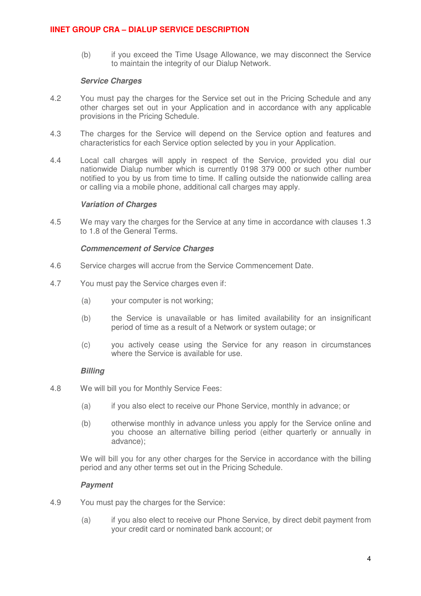(b) if you exceed the Time Usage Allowance, we may disconnect the Service to maintain the integrity of our Dialup Network.

#### **Service Charges**

- 4.2 You must pay the charges for the Service set out in the Pricing Schedule and any other charges set out in your Application and in accordance with any applicable provisions in the Pricing Schedule.
- 4.3 The charges for the Service will depend on the Service option and features and characteristics for each Service option selected by you in your Application.
- 4.4 Local call charges will apply in respect of the Service, provided you dial our nationwide Dialup number which is currently 0198 379 000 or such other number notified to you by us from time to time. If calling outside the nationwide calling area or calling via a mobile phone, additional call charges may apply.

#### **Variation of Charges**

4.5 We may vary the charges for the Service at any time in accordance with clauses 1.3 to 1.8 of the General Terms.

#### **Commencement of Service Charges**

- 4.6 Service charges will accrue from the Service Commencement Date.
- 4.7 You must pay the Service charges even if:
	- (a) your computer is not working;
	- (b) the Service is unavailable or has limited availability for an insignificant period of time as a result of a Network or system outage; or
	- (c) you actively cease using the Service for any reason in circumstances where the Service is available for use.

### **Billing**

- 4.8 We will bill you for Monthly Service Fees:
	- (a) if you also elect to receive our Phone Service, monthly in advance; or
	- (b) otherwise monthly in advance unless you apply for the Service online and you choose an alternative billing period (either quarterly or annually in advance);

We will bill you for any other charges for the Service in accordance with the billing period and any other terms set out in the Pricing Schedule.

### **Payment**

- 4.9 You must pay the charges for the Service:
	- (a) if you also elect to receive our Phone Service, by direct debit payment from your credit card or nominated bank account; or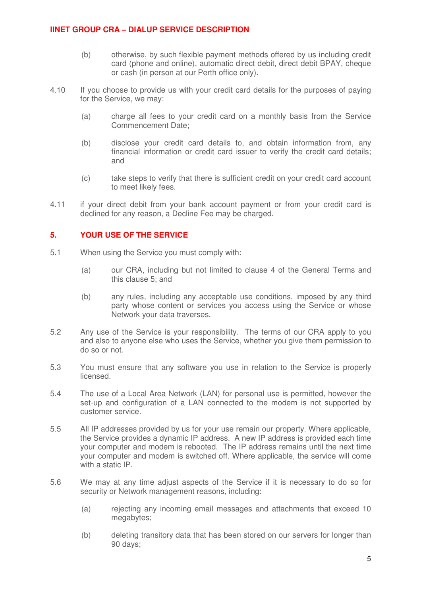- (b) otherwise, by such flexible payment methods offered by us including credit card (phone and online), automatic direct debit, direct debit BPAY, cheque or cash (in person at our Perth office only).
- 4.10 If you choose to provide us with your credit card details for the purposes of paying for the Service, we may:
	- (a) charge all fees to your credit card on a monthly basis from the Service Commencement Date;
	- (b) disclose your credit card details to, and obtain information from, any financial information or credit card issuer to verify the credit card details; and
	- (c) take steps to verify that there is sufficient credit on your credit card account to meet likely fees.
- 4.11 if your direct debit from your bank account payment or from your credit card is declined for any reason, a Decline Fee may be charged.

### **5. YOUR USE OF THE SERVICE**

- 5.1 When using the Service you must comply with:
	- (a) our CRA, including but not limited to clause 4 of the General Terms and this clause 5; and
	- (b) any rules, including any acceptable use conditions, imposed by any third party whose content or services you access using the Service or whose Network your data traverses.
- 5.2 Any use of the Service is your responsibility. The terms of our CRA apply to you and also to anyone else who uses the Service, whether you give them permission to do so or not.
- 5.3 You must ensure that any software you use in relation to the Service is properly licensed.
- 5.4 The use of a Local Area Network (LAN) for personal use is permitted, however the set-up and configuration of a LAN connected to the modem is not supported by customer service.
- 5.5 All IP addresses provided by us for your use remain our property. Where applicable, the Service provides a dynamic IP address. A new IP address is provided each time your computer and modem is rebooted. The IP address remains until the next time your computer and modem is switched off. Where applicable, the service will come with a static IP.
- 5.6 We may at any time adjust aspects of the Service if it is necessary to do so for security or Network management reasons, including:
	- (a) rejecting any incoming email messages and attachments that exceed 10 megabytes:
	- (b) deleting transitory data that has been stored on our servers for longer than 90 days;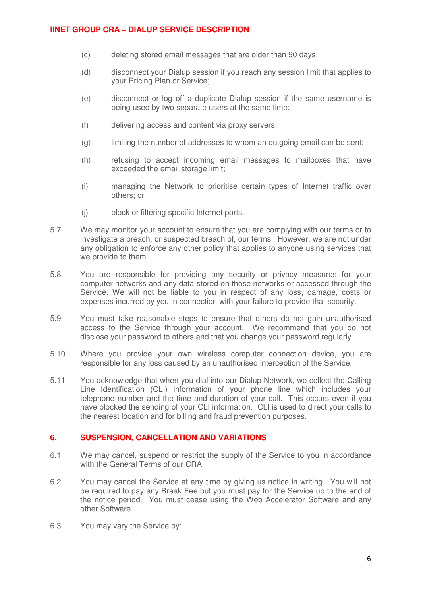- (c) deleting stored email messages that are older than 90 days;
- (d) disconnect your Dialup session if you reach any session limit that applies to your Pricing Plan or Service;
- (e) disconnect or log off a duplicate Dialup session if the same username is being used by two separate users at the same time;
- (f) delivering access and content via proxy servers;
- (g) limiting the number of addresses to whom an outgoing email can be sent;
- (h) refusing to accept incoming email messages to mailboxes that have exceeded the email storage limit:
- (i) managing the Network to prioritise certain types of Internet traffic over others; or
- (j) block or filtering specific Internet ports.
- 5.7 We may monitor your account to ensure that you are complying with our terms or to investigate a breach, or suspected breach of, our terms. However, we are not under any obligation to enforce any other policy that applies to anyone using services that we provide to them.
- 5.8 You are responsible for providing any security or privacy measures for your computer networks and any data stored on those networks or accessed through the Service. We will not be liable to you in respect of any loss, damage, costs or expenses incurred by you in connection with your failure to provide that security.
- 5.9 You must take reasonable steps to ensure that others do not gain unauthorised access to the Service through your account. We recommend that you do not disclose your password to others and that you change your password regularly.
- 5.10 Where you provide your own wireless computer connection device, you are responsible for any loss caused by an unauthorised interception of the Service.
- 5.11 You acknowledge that when you dial into our Dialup Network, we collect the Calling Line Identification (CLI) information of your phone line which includes your telephone number and the time and duration of your call. This occurs even if you have blocked the sending of your CLI information. CLI is used to direct your calls to the nearest location and for billing and fraud prevention purposes.

### **6. SUSPENSION, CANCELLATION AND VARIATIONS**

- 6.1 We may cancel, suspend or restrict the supply of the Service to you in accordance with the General Terms of our CRA.
- 6.2 You may cancel the Service at any time by giving us notice in writing. You will not be required to pay any Break Fee but you must pay for the Service up to the end of the notice period. You must cease using the Web Accelerator Software and any other Software.
- 6.3 You may vary the Service by: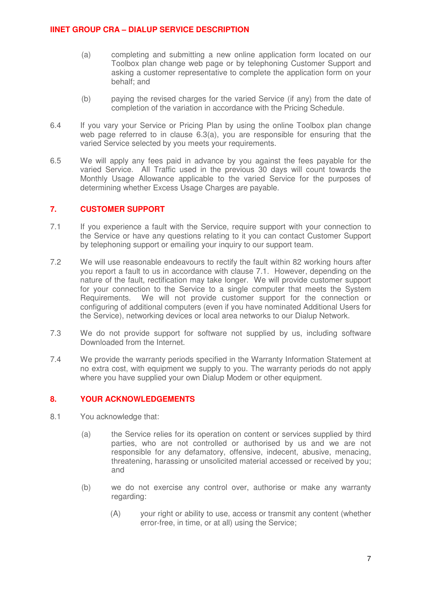- (a) completing and submitting a new online application form located on our Toolbox plan change web page or by telephoning Customer Support and asking a customer representative to complete the application form on your behalf; and
- (b) paying the revised charges for the varied Service (if any) from the date of completion of the variation in accordance with the Pricing Schedule.
- 6.4 If you vary your Service or Pricing Plan by using the online Toolbox plan change web page referred to in clause 6.3(a), you are responsible for ensuring that the varied Service selected by you meets your requirements.
- 6.5 We will apply any fees paid in advance by you against the fees payable for the varied Service. All Traffic used in the previous 30 days will count towards the Monthly Usage Allowance applicable to the varied Service for the purposes of determining whether Excess Usage Charges are payable.

### **7. CUSTOMER SUPPORT**

- 7.1 If you experience a fault with the Service, require support with your connection to the Service or have any questions relating to it you can contact Customer Support by telephoning support or emailing your inquiry to our support team.
- 7.2 We will use reasonable endeavours to rectify the fault within 82 working hours after you report a fault to us in accordance with clause 7.1. However, depending on the nature of the fault, rectification may take longer. We will provide customer support for your connection to the Service to a single computer that meets the System Requirements. We will not provide customer support for the connection or configuring of additional computers (even if you have nominated Additional Users for the Service), networking devices or local area networks to our Dialup Network.
- 7.3 We do not provide support for software not supplied by us, including software Downloaded from the Internet.
- 7.4 We provide the warranty periods specified in the Warranty Information Statement at no extra cost, with equipment we supply to you. The warranty periods do not apply where you have supplied your own Dialup Modem or other equipment.

## **8. YOUR ACKNOWLEDGEMENTS**

- 8.1 You acknowledge that:
	- (a) the Service relies for its operation on content or services supplied by third parties, who are not controlled or authorised by us and we are not responsible for any defamatory, offensive, indecent, abusive, menacing, threatening, harassing or unsolicited material accessed or received by you; and
	- (b) we do not exercise any control over, authorise or make any warranty regarding:
		- (A) your right or ability to use, access or transmit any content (whether error-free, in time, or at all) using the Service;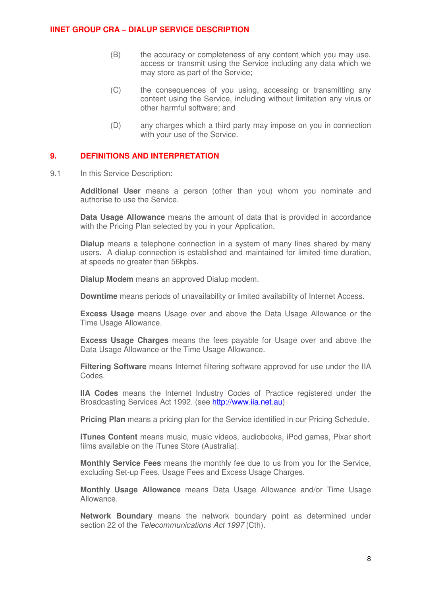- (B) the accuracy or completeness of any content which you may use, access or transmit using the Service including any data which we may store as part of the Service;
- (C) the consequences of you using, accessing or transmitting any content using the Service, including without limitation any virus or other harmful software; and
- (D) any charges which a third party may impose on you in connection with your use of the Service.

### **9. DEFINITIONS AND INTERPRETATION**

9.1 In this Service Description:

**Additional User** means a person (other than you) whom you nominate and authorise to use the Service.

**Data Usage Allowance** means the amount of data that is provided in accordance with the Pricing Plan selected by you in your Application.

**Dialup** means a telephone connection in a system of many lines shared by many users. A dialup connection is established and maintained for limited time duration, at speeds no greater than 56kpbs.

**Dialup Modem** means an approved Dialup modem.

**Downtime** means periods of unavailability or limited availability of Internet Access.

**Excess Usage** means Usage over and above the Data Usage Allowance or the Time Usage Allowance.

**Excess Usage Charges** means the fees payable for Usage over and above the Data Usage Allowance or the Time Usage Allowance.

**Filtering Software** means Internet filtering software approved for use under the IIA Codes.

**IIA Codes** means the Internet Industry Codes of Practice registered under the Broadcasting Services Act 1992. (see [http://www.iia.net.au](http://www.iia.net.au/))

**Pricing Plan** means a pricing plan for the Service identified in our Pricing Schedule.

**iTunes Content** means music, music videos, audiobooks, iPod games, Pixar short films available on the iTunes Store (Australia).

**Monthly Service Fees** means the monthly fee due to us from you for the Service, excluding Set-up Fees, Usage Fees and Excess Usage Charges.

**Monthly Usage Allowance** means Data Usage Allowance and/or Time Usage Allowance.

**Network Boundary** means the network boundary point as determined under section 22 of the Telecommunications Act 1997 (Cth).